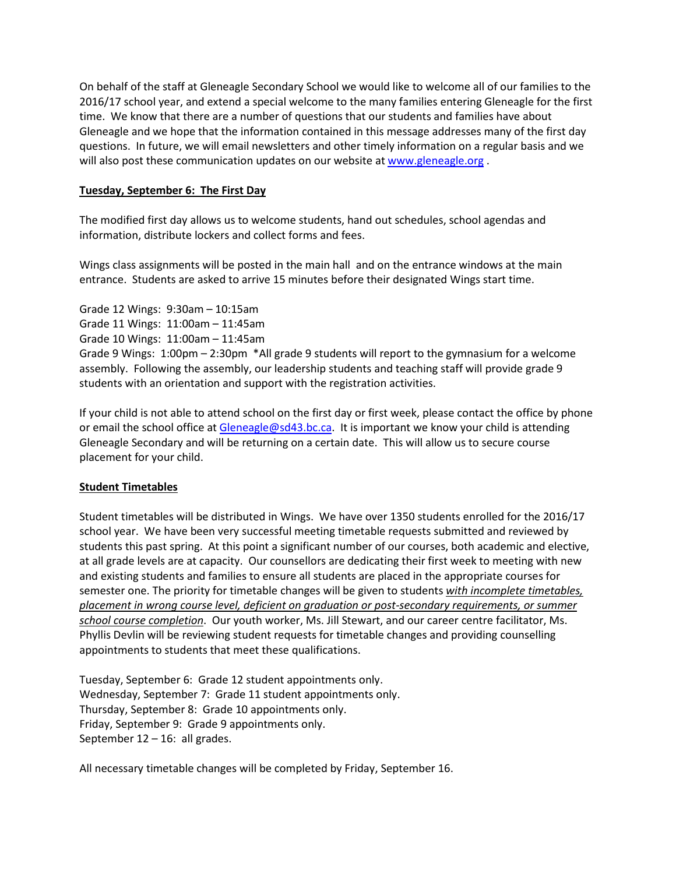On behalf of the staff at Gleneagle Secondary School we would like to welcome all of our families to the 2016/17 school year, and extend a special welcome to the many families entering Gleneagle for the first time. We know that there are a number of questions that our students and families have about Gleneagle and we hope that the information contained in this message addresses many of the first day questions. In future, we will email newsletters and other timely information on a regular basis and we will also post these communication updates on our website a[t www.gleneagle.org](http://www.gleneagle.org/).

# **Tuesday, September 6: The First Day**

The modified first day allows us to welcome students, hand out schedules, school agendas and information, distribute lockers and collect forms and fees.

Wings class assignments will be posted in the main hall and on the entrance windows at the main entrance. Students are asked to arrive 15 minutes before their designated Wings start time.

Grade 12 Wings: 9:30am – 10:15am Grade 11 Wings: 11:00am – 11:45am Grade 10 Wings: 11:00am – 11:45am Grade 9 Wings: 1:00pm – 2:30pm \*All grade 9 students will report to the gymnasium for a welcome assembly. Following the assembly, our leadership students and teaching staff will provide grade 9 students with an orientation and support with the registration activities.

If your child is not able to attend school on the first day or first week, please contact the office by phone or email the school office at [Gleneagle@sd43.bc.ca.](mailto:Gleneagle@sd43.bc.ca) It is important we know your child is attending Gleneagle Secondary and will be returning on a certain date. This will allow us to secure course placement for your child.

## **Student Timetables**

Student timetables will be distributed in Wings. We have over 1350 students enrolled for the 2016/17 school year. We have been very successful meeting timetable requests submitted and reviewed by students this past spring. At this point a significant number of our courses, both academic and elective, at all grade levels are at capacity. Our counsellors are dedicating their first week to meeting with new and existing students and families to ensure all students are placed in the appropriate courses for semester one. The priority for timetable changes will be given to students *with incomplete timetables, placement in wrong course level, deficient on graduation or post-secondary requirements, or summer school course completion*. Our youth worker, Ms. Jill Stewart, and our career centre facilitator, Ms. Phyllis Devlin will be reviewing student requests for timetable changes and providing counselling appointments to students that meet these qualifications.

Tuesday, September 6: Grade 12 student appointments only. Wednesday, September 7: Grade 11 student appointments only. Thursday, September 8: Grade 10 appointments only. Friday, September 9: Grade 9 appointments only. September  $12 - 16$ : all grades.

All necessary timetable changes will be completed by Friday, September 16.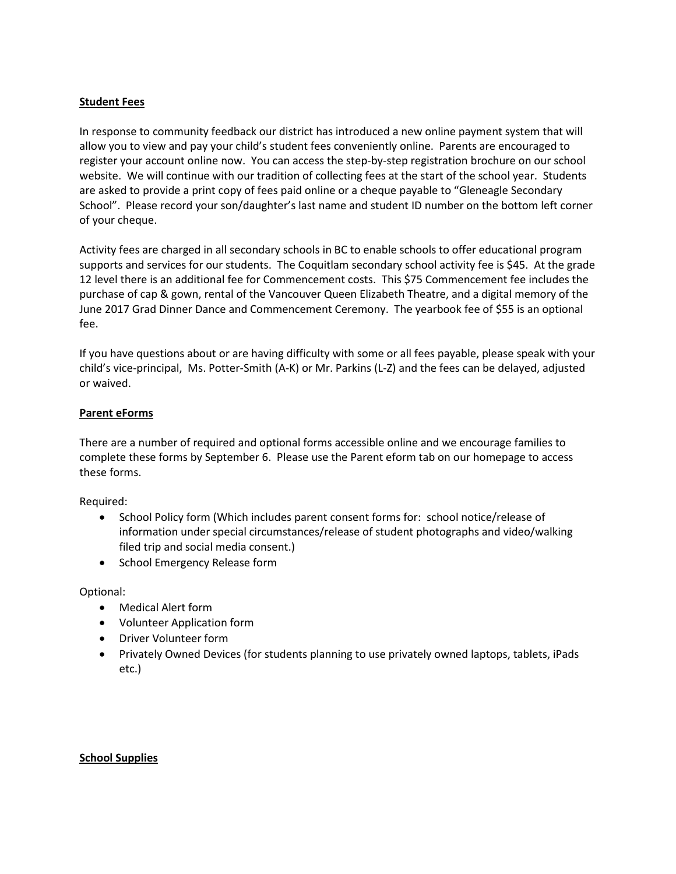### **Student Fees**

In response to community feedback our district has introduced a new online payment system that will allow you to view and pay your child's student fees conveniently online. Parents are encouraged to register your account online now. You can access the step-by-step registration brochure on our school website. We will continue with our tradition of collecting fees at the start of the school year. Students are asked to provide a print copy of fees paid online or a cheque payable to "Gleneagle Secondary School". Please record your son/daughter's last name and student ID number on the bottom left corner of your cheque.

Activity fees are charged in all secondary schools in BC to enable schools to offer educational program supports and services for our students. The Coquitlam secondary school activity fee is \$45. At the grade 12 level there is an additional fee for Commencement costs. This \$75 Commencement fee includes the purchase of cap & gown, rental of the Vancouver Queen Elizabeth Theatre, and a digital memory of the June 2017 Grad Dinner Dance and Commencement Ceremony. The yearbook fee of \$55 is an optional fee.

If you have questions about or are having difficulty with some or all fees payable, please speak with your child's vice-principal, Ms. Potter-Smith (A-K) or Mr. Parkins (L-Z) and the fees can be delayed, adjusted or waived.

### **Parent eForms**

There are a number of required and optional forms accessible online and we encourage families to complete these forms by September 6. Please use the Parent eform tab on our homepage to access these forms.

Required:

- School Policy form (Which includes parent consent forms for: school notice/release of information under special circumstances/release of student photographs and video/walking filed trip and social media consent.)
- School Emergency Release form

Optional:

- Medical Alert form
- Volunteer Application form
- Driver Volunteer form
- Privately Owned Devices (for students planning to use privately owned laptops, tablets, iPads etc.)

#### **School Supplies**